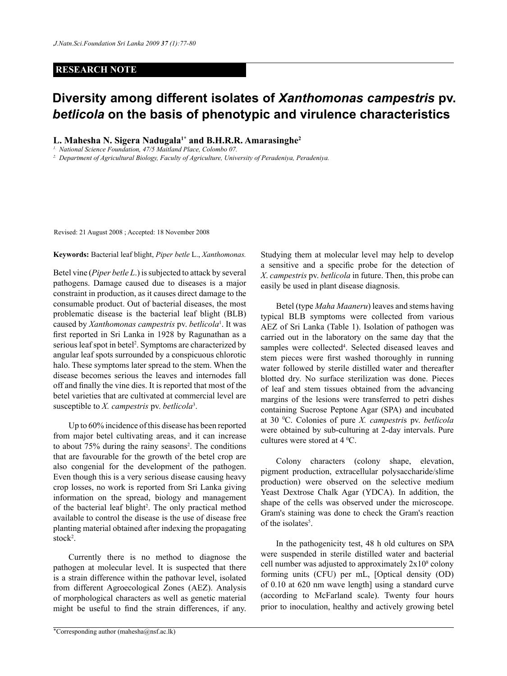## **RESEARCH NOTE**

## **Diversity among different isolates of** *Xanthomonas campestris* **pv.**  *betlicola* **on the basis of phenotypic and virulence characteristics**

**L. Mahesha N. Sigera Nadugala1\* and B.H.R.R. Amarasinghe2**

*1. National Science Foundation, 47/5 Maitland Place, Colombo 07.*

*2. Department of Agricultural Biology, Faculty of Agriculture, University of Peradeniya, Peradeniya.*

Revised: 21 August 2008 ; Accepted: 18 November 2008

**Keywords:** Bacterial leaf blight, *Piper betle* L., *Xanthomonas.*

Betel vine (*Piper betle L*.) is subjected to attack by several pathogens. Damage caused due to diseases is a major constraint in production, as it causes direct damage to the consumable product. Out of bacterial diseases, the most problematic disease is the bacterial leaf blight (BLB) caused by *Xanthomonas campestris* pv. *betlicola*<sup>1</sup> . It was first reported in Sri Lanka in 1928 by Ragunathan as a serious leaf spot in betel<sup>2</sup>. Symptoms are characterized by angular leaf spots surrounded by a conspicuous chlorotic halo. These symptoms later spread to the stem. When the disease becomes serious the leaves and internodes fall off and finally the vine dies. It is reported that most of the betel varieties that are cultivated at commercial level are susceptible to *X. campestris* pv. *betlicola*<sup>3</sup> .

Up to 60% incidence of this disease has been reported from major betel cultivating areas, and it can increase to about 75% during the rainy seasons<sup>2</sup>. The conditions that are favourable for the growth of the betel crop are also congenial for the development of the pathogen. Even though this is a very serious disease causing heavy crop losses, no work is reported from Sri Lanka giving information on the spread, biology and management of the bacterial leaf blight<sup>2</sup>. The only practical method available to control the disease is the use of disease free planting material obtained after indexing the propagating stock<sup>2</sup>.

Currently there is no method to diagnose the pathogen at molecular level. It is suspected that there is a strain difference within the pathovar level, isolated from different Agroecological Zones (AEZ). Analysis of morphological characters as well as genetic material might be useful to find the strain differences, if any.

\**Journal of the National Science Foundation of Sri Lanka* Corresponding author (mahesha@nsf.ac.lk) *37 (1) March 2009*

Studying them at molecular level may help to develop a sensitive and a specific probe for the detection of *X*. *campestris* pv. *betlicola* in future. Then, this probe can easily be used in plant disease diagnosis.

Betel (type *Maha Maaneru*) leaves and stems having typical BLB symptoms were collected from various AEZ of Sri Lanka (Table 1). Isolation of pathogen was carried out in the laboratory on the same day that the samples were collected<sup>4</sup>. Selected diseased leaves and stem pieces were first washed thoroughly in running water followed by sterile distilled water and thereafter blotted dry. No surface sterilization was done. Pieces of leaf and stem tissues obtained from the advancing margins of the lesions were transferred to petri dishes containing Sucrose Peptone Agar (SPA) and incubated at 30 0 C. Colonies of pure *X. campestri*s pv. *betlicola* were obtained by sub-culturing at 2-day intervals. Pure cultures were stored at  $4^{\circ}$ C.

Colony characters (colony shape, elevation, pigment production, extracellular polysaccharide/slime production) were observed on the selective medium Yeast Dextrose Chalk Agar (YDCA). In addition, the shape of the cells was observed under the microscope. Gram's staining was done to check the Gram's reaction of the isolates<sup>5</sup>.

In the pathogenicity test, 48 h old cultures on SPA were suspended in sterile distilled water and bacterial cell number was adjusted to approximately  $2x10<sup>s</sup>$  colony forming units (CFU) per mL, [Optical density (OD) of 0.10 at 620 nm wave length] using a standard curve (according to McFarland scale). Twenty four hours prior to inoculation, healthy and actively growing betel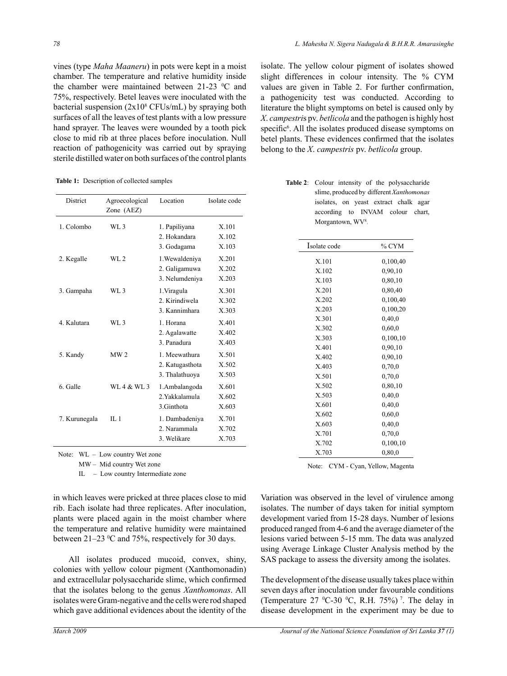vines (type *Maha Maaneru*) in pots were kept in a moist chamber. The temperature and relative humidity inside the chamber were maintained between  $21-23$  °C and 75%, respectively. Betel leaves were inoculated with the bacterial suspension (2x108 CFUs/mL) by spraying both surfaces of all the leaves of test plants with a low pressure hand sprayer. The leaves were wounded by a tooth pick close to mid rib at three places before inoculation. Null reaction of pathogenicity was carried out by spraying sterile distilled water on both surfaces of the control plants

**Table 1:** Description of collected samples

| <b>District</b> | Agroecological<br>Zone (AEZ) | Location                                           | Isolate code            |
|-----------------|------------------------------|----------------------------------------------------|-------------------------|
| 1. Colombo      | W1.3                         | 1. Papiliyana<br>2. Hokandara<br>3. Godagama       | X.101<br>X.102<br>X.103 |
| 2. Kegalle      | WI.2                         | 1. Wewaldeniya<br>2. Galigamuwa<br>3. Nelumdeniya  | X.201<br>X.202<br>X.203 |
| 3. Gampaha      | W1.3                         | 1. Viragula<br>2. Kirindiwela<br>3. Kannimhara     | X.301<br>X.302<br>X.303 |
| 4. Kalutara     | $WL$ 3                       | 1. Horana<br>2. Agalawatte<br>3 Panadura           | X 401<br>X.402<br>X.403 |
| 5. Kandy        | MW <sub>2</sub>              | 1. Meewathura<br>2. Katugasthota<br>3. Thalathuoya | X.501<br>X.502<br>X.503 |
| 6 Galle         | WL 4 & WL 3                  | 1. Ambalangoda<br>2 Yakkalamula<br>3. Ginthota     | X.601<br>X.602<br>X.603 |
| 7. Kurunegala   | $\Pi$ . 1                    | 1. Dambadeniya<br>2. Narammala<br>3. Welikare      | X.701<br>X.702<br>X.703 |

Note: WL – Low country Wet zone

MW – Mid country Wet zone

IL – Low country Intermediate zone

in which leaves were pricked at three places close to mid rib. Each isolate had three replicates. After inoculation, plants were placed again in the moist chamber where the temperature and relative humidity were maintained between  $21-23$  °C and 75%, respectively for 30 days.

All isolates produced mucoid, convex, shiny, colonies with yellow colour pigment (Xanthomonadin) and extracellular polysaccharide slime, which confirmed that the isolates belong to the genus *Xanthomonas*. All isolates were Gram-negative and the cells were rod shaped which gave additional evidences about the identity of the

isolate. The yellow colour pigment of isolates showed slight differences in colour intensity. The % CYM values are given in Table 2. For further confirmation, a pathogenicity test was conducted. According to literature the blight symptoms on betel is caused only by *X*. *campestri*s pv. *betlicola* and the pathogen is highly host specific<sup>6</sup>. All the isolates produced disease symptoms on betel plants. These evidences confirmed that the isolates belong to the *X*. *campestris* pv. *betlicola* group.

**Table 2**: Colour intensity of the polysaccharide slime, produced by different *Xanthomonas* isolates, on yeast extract chalk agar according to INVAM colour chart, Morgantown, WV<sup>8</sup>.

| Isolate code | % CYM    |  |
|--------------|----------|--|
| X.101        | 0,100,40 |  |
| X.102        | 0,90,10  |  |
| X.103        | 0,80,10  |  |
| X.201        | 0,80,40  |  |
| X.202        | 0,100,40 |  |
| X.203        | 0,100,20 |  |
| X.301        | 0,40,0   |  |
| X.302        | 0,60,0   |  |
| X.303        | 0,100,10 |  |
| X.401        | 0,90,10  |  |
| X.402        | 0,90,10  |  |
| X.403        | 0,70,0   |  |
| X.501        | 0,70,0   |  |
| X.502        | 0,80,10  |  |
| X.503        | 0,40,0   |  |
| X.601        | 0,40,0   |  |
| X.602        | 0,60,0   |  |
| X.603        | 0,40,0   |  |
| X.701        | 0,70,0   |  |
| X.702        | 0,100,10 |  |
| X.703        | 0,80,0   |  |

Note: CYM - Cyan, Yellow, Magenta

Variation was observed in the level of virulence among isolates. The number of days taken for initial symptom development varied from 15-28 days. Number of lesions produced ranged from 4-6 and the average diameter of the lesions varied between 5-15 mm. The data was analyzed using Average Linkage Cluster Analysis method by the SAS package to assess the diversity among the isolates.

The development of the disease usually takes place within seven days after inoculation under favourable conditions (Temperature 27  $^{\circ}$ C-30  $^{\circ}$ C, R.H. 75%)<sup>7</sup>. The delay in disease development in the experiment may be due to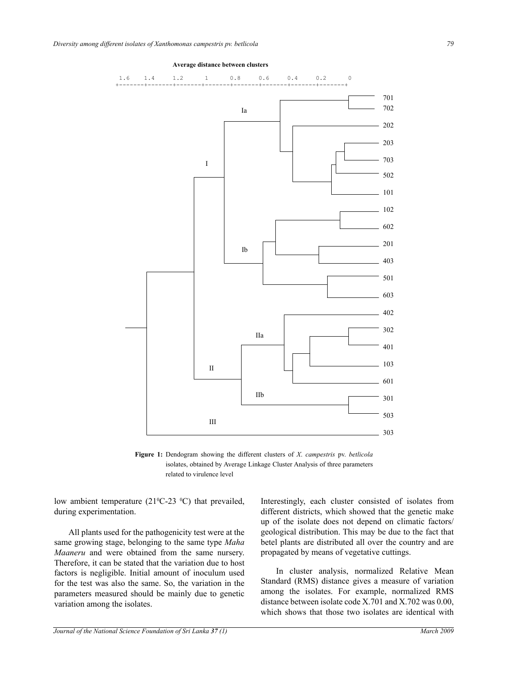

## **Average distance between clusters**

**Figure 1:** Dendogram showing the different clusters of *X*. *campestris* pv. *betlicola*  isolates, obtained by Average Linkage Cluster Analysis of three parameters related to virulence level

low ambient temperature  $(21^{\circ}C - 23^{\circ}C)$  that prevailed, during experimentation.

All plants used for the pathogenicity test were at the same growing stage, belonging to the same type *Maha Maaneru* and were obtained from the same nursery. Therefore, it can be stated that the variation due to host factors is negligible. Initial amount of inoculum used for the test was also the same. So, the variation in the parameters measured should be mainly due to genetic variation among the isolates.

Interestingly, each cluster consisted of isolates from different districts, which showed that the genetic make up of the isolate does not depend on climatic factors/ geological distribution. This may be due to the fact that betel plants are distributed all over the country and are propagated by means of vegetative cuttings.

In cluster analysis, normalized Relative Mean Standard (RMS) distance gives a measure of variation among the isolates. For example, normalized RMS distance between isolate code X.701 and X.702 was 0.00, which shows that those two isolates are identical with